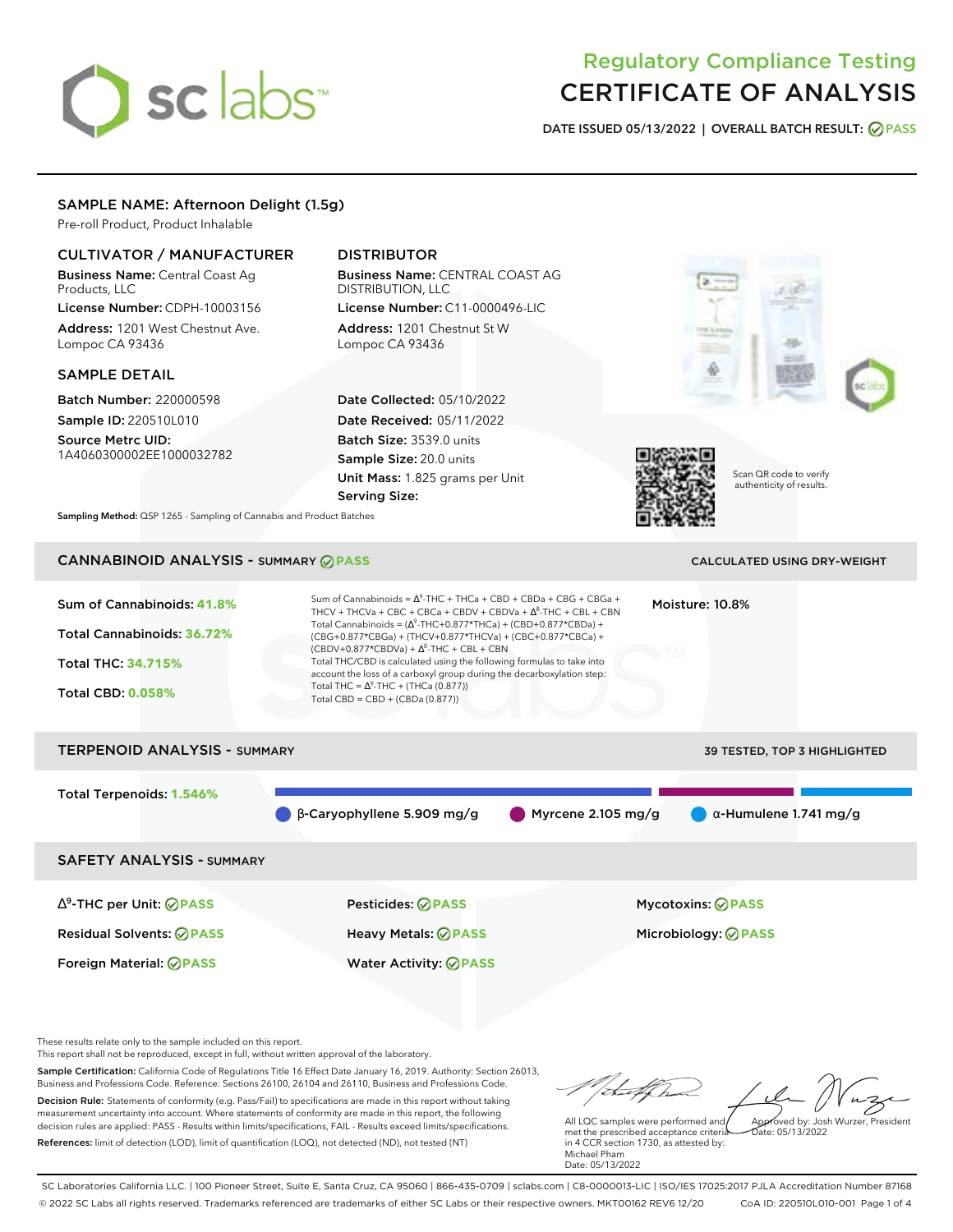# sclabs<sup>\*</sup>

# Regulatory Compliance Testing CERTIFICATE OF ANALYSIS

**DATE ISSUED 05/13/2022 | OVERALL BATCH RESULT: PASS**

### SAMPLE NAME: Afternoon Delight (1.5g)

Pre-roll Product, Product Inhalable

## CULTIVATOR / MANUFACTURER

Business Name: Central Coast Ag Products, LLC

License Number: CDPH-10003156 Address: 1201 West Chestnut Ave. Lompoc CA 93436

#### SAMPLE DETAIL

Batch Number: 220000598 Sample ID: 220510L010

Source Metrc UID: 1A4060300002EE1000032782

# DISTRIBUTOR

Business Name: CENTRAL COAST AG DISTRIBUTION, LLC License Number: C11-0000496-LIC Address: 1201 Chestnut St W

Lompoc CA 93436

Date Collected: 05/10/2022 Date Received: 05/11/2022 Batch Size: 3539.0 units Sample Size: 20.0 units Unit Mass: 1.825 grams per Unit Serving Size:





Scan QR code to verify authenticity of results.

**Sampling Method:** QSP 1265 - Sampling of Cannabis and Product Batches

# CANNABINOID ANALYSIS - SUMMARY **PASS** CALCULATED USING DRY-WEIGHT

| Sum of Cannabinoids: 41.8%<br>Total Cannabinoids: 36.72%<br><b>Total THC: 34.715%</b><br><b>Total CBD: 0.058%</b> | Sum of Cannabinoids = $\Delta^9$ -THC + THCa + CBD + CBDa + CBG + CBGa +<br>THCV + THCVa + CBC + CBCa + CBDV + CBDVa + $\Delta^8$ -THC + CBL + CBN<br>Total Cannabinoids = $(\Delta^9$ -THC+0.877*THCa) + (CBD+0.877*CBDa) +<br>(CBG+0.877*CBGa) + (THCV+0.877*THCVa) + (CBC+0.877*CBCa) +<br>$(CBDV+0.877*CBDVa) + \Delta^{8}$ -THC + CBL + CBN<br>Total THC/CBD is calculated using the following formulas to take into<br>account the loss of a carboxyl group during the decarboxylation step:<br>Total THC = $\Delta^9$ -THC + (THCa (0.877))<br>Total CBD = CBD + (CBDa (0.877)) |                      | Moisture: 10.8%                                        |
|-------------------------------------------------------------------------------------------------------------------|----------------------------------------------------------------------------------------------------------------------------------------------------------------------------------------------------------------------------------------------------------------------------------------------------------------------------------------------------------------------------------------------------------------------------------------------------------------------------------------------------------------------------------------------------------------------------------------|----------------------|--------------------------------------------------------|
| <b>TERPENOID ANALYSIS - SUMMARY</b>                                                                               |                                                                                                                                                                                                                                                                                                                                                                                                                                                                                                                                                                                        |                      | 39 TESTED, TOP 3 HIGHLIGHTED                           |
| Total Terpenoids: 1.546%                                                                                          | $\beta$ -Caryophyllene 5.909 mg/g                                                                                                                                                                                                                                                                                                                                                                                                                                                                                                                                                      | Myrcene $2.105$ mg/g | $\alpha$ -Humulene 1.741 mg/g                          |
| <b>SAFETY ANALYSIS - SUMMARY</b>                                                                                  |                                                                                                                                                                                                                                                                                                                                                                                                                                                                                                                                                                                        |                      |                                                        |
| $\Delta^9$ -THC per Unit: $\oslash$ PASS<br><b>Residual Solvents: ⊘PASS</b>                                       | <b>Pesticides: ⊘ PASS</b><br>Heavy Metals: <b>⊘</b> PASS                                                                                                                                                                                                                                                                                                                                                                                                                                                                                                                               |                      | <b>Mycotoxins: ⊘PASS</b><br>Microbiology: <b>⊘PASS</b> |
| Foreign Material: <b>⊘ PASS</b>                                                                                   | <b>Water Activity: ⊘ PASS</b>                                                                                                                                                                                                                                                                                                                                                                                                                                                                                                                                                          |                      |                                                        |

These results relate only to the sample included on this report.

This report shall not be reproduced, except in full, without written approval of the laboratory.

Sample Certification: California Code of Regulations Title 16 Effect Date January 16, 2019. Authority: Section 26013, Business and Professions Code. Reference: Sections 26100, 26104 and 26110, Business and Professions Code. Decision Rule: Statements of conformity (e.g. Pass/Fail) to specifications are made in this report without taking measurement uncertainty into account. Where statements of conformity are made in this report, the following decision rules are applied: PASS - Results within limits/specifications, FAIL - Results exceed limits/specifications.

References: limit of detection (LOD), limit of quantification (LOQ), not detected (ND), not tested (NT)

talfh Approved by: Josh Wurzer, President

Date: 05/13/2022

All LQC samples were performed and met the prescribed acceptance criteria in 4 CCR section 1730, as attested by: Michael Pham Date: 05/13/2022

SC Laboratories California LLC. | 100 Pioneer Street, Suite E, Santa Cruz, CA 95060 | 866-435-0709 | sclabs.com | C8-0000013-LIC | ISO/IES 17025:2017 PJLA Accreditation Number 87168 © 2022 SC Labs all rights reserved. Trademarks referenced are trademarks of either SC Labs or their respective owners. MKT00162 REV6 12/20 CoA ID: 220510L010-001 Page 1 of 4